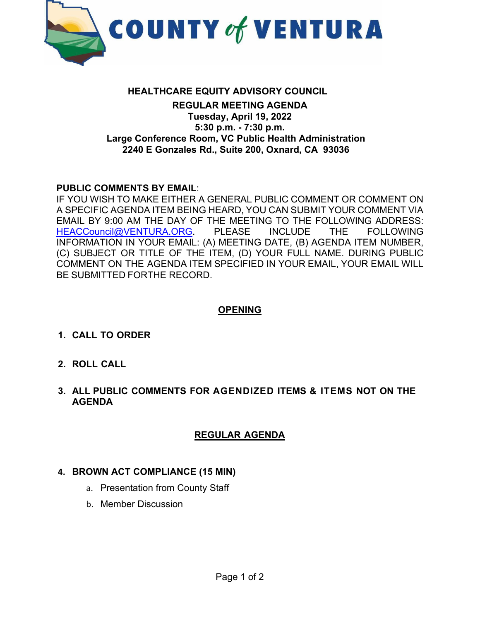

#### **HEALTHCARE EQUITY ADVISORY COUNCIL REGULAR MEETING AGENDA Tuesday, April 19, 2022 5:30 p.m. - 7:30 p.m. Large Conference Room, VC Public Health Administration 2240 E Gonzales Rd., Suite 200, Oxnard, CA 93036**

#### **PUBLIC COMMENTS BY EMAIL**:

IF YOU WISH TO MAKE EITHER A GENERAL PUBLIC COMMENT OR COMMENT ON A SPECIFIC AGENDA ITEM BEING HEARD, YOU CAN SUBMIT YOUR COMMENT VIA EMAIL BY 9:00 AM THE DAY OF THE MEETING TO THE FOLLOWING ADDRESS: [HEACCouncil@VENTURA.ORG.](mailto:HEACCouncil@VENTURA.ORG) PLEASE INCLUDE THE FOLLOWING INFORMATION IN YOUR EMAIL: (A) MEETING DATE, (B) AGENDA ITEM NUMBER, (C) SUBJECT OR TITLE OF THE ITEM, (D) YOUR FULL NAME. DURING PUBLIC COMMENT ON THE AGENDA ITEM SPECIFIED IN YOUR EMAIL, YOUR EMAIL WILL BE SUBMITTED FORTHE RECORD.

### **OPENING**

- **1. CALL TO ORDER**
- **2. ROLL CALL**
- **3. ALL PUBLIC COMMENTS FOR AGENDIZED ITEMS & ITEMS NOT ON THE AGENDA**

### **REGULAR AGENDA**

### **4. BROWN ACT COMPLIANCE (15 MIN)**

- a. Presentation from County Staff
- b. Member Discussion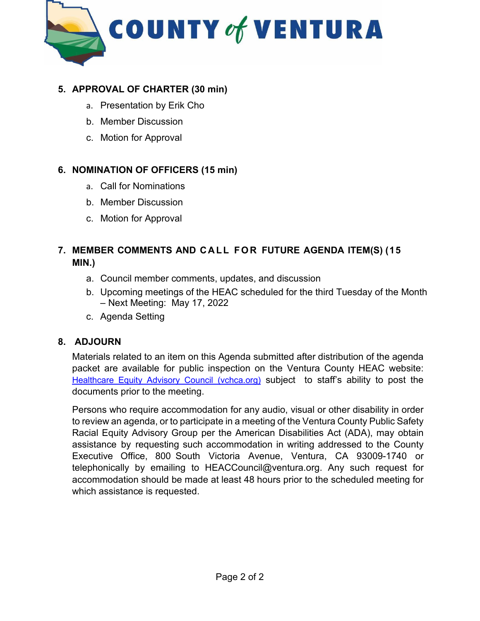

### **5. APPROVAL OF CHARTER (30 min)**

- a. Presentation by Erik Cho
- b. Member Discussion
- c. Motion for Approval

### **6. NOMINATION OF OFFICERS (15 min)**

- a. Call for Nominations
- b. Member Discussion
- c. Motion for Approval

### **7. MEMBER COMMENTS AND CALL FOR FUTURE AGENDA ITEM(S) (15 MIN.)**

- a. Council member comments, updates, and discussion
- b. Upcoming meetings of the HEAC scheduled for the third Tuesday of the Month – Next Meeting: May 17, 2022
- c. Agenda Setting

### **8. ADJOURN**

Materials related to an item on this Agenda submitted after distribution of the agenda packet are available for public inspection on the Ventura County HEAC website: [Healthcare Equity Advisory Council \(vchca.org\)](https://vchca.org/heac) subject to staff's ability to post the documents prior to the meeting.

Persons who require accommodation for any audio, visual or other disability in order to review an agenda, or to participate in a meeting of the Ventura County Public Safety Racial Equity Advisory Group per the American Disabilities Act (ADA), may obtain assistance by requesting such accommodation in writing addressed to the County Executive Office, 800 South Victoria Avenue, Ventura, CA 93009-1740 or telephonically by emailing to HEACCouncil@ventura.org. Any such request for accommodation should be made at least 48 hours prior to the scheduled meeting for which assistance is requested.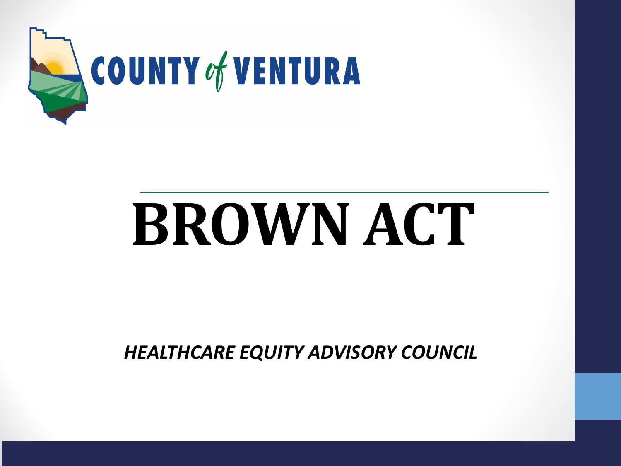

# **BROWN ACT**

*HEALTHCARE EQUITY ADVISORY COUNCIL*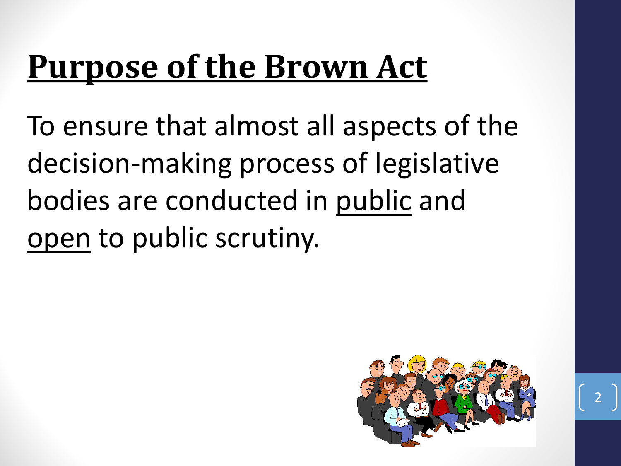### **Purpose of the Brown Act**

To ensure that almost all aspects of the decision-making process of legislative bodies are conducted in public and open to public scrutiny.

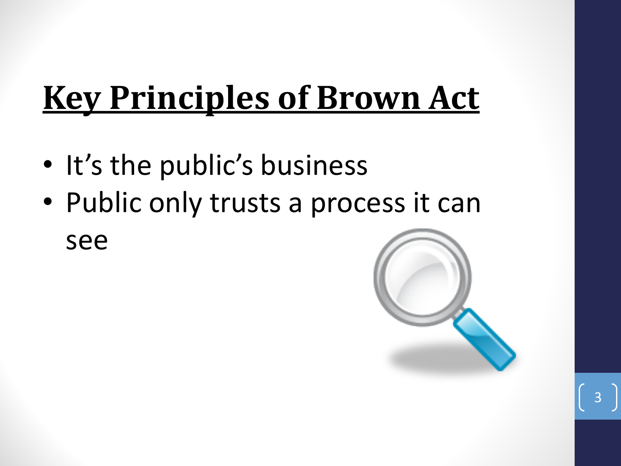### **Key Principles of Brown Act**

- It's the public's business
- Public only trusts a process it can see

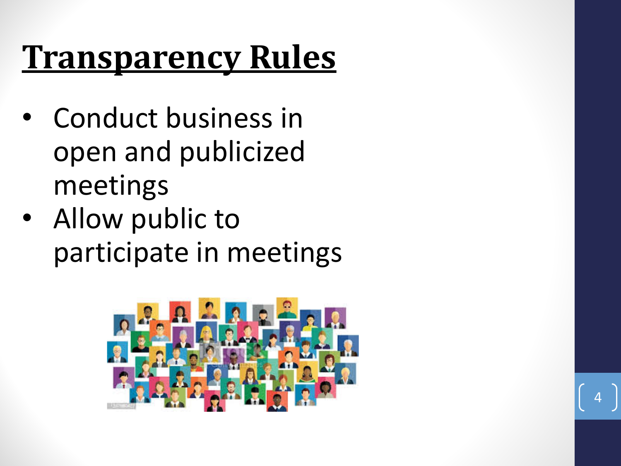### **Transparency Rules**

- Conduct business in open and publicized meetings
- Allow public to participate in meetings



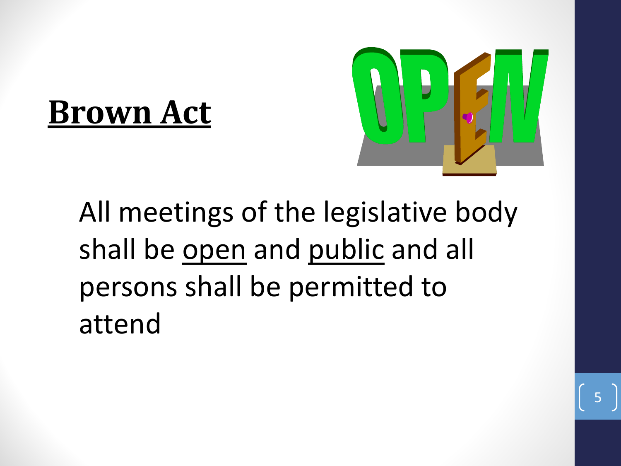### **Brown Act**



All meetings of the legislative body shall be open and public and all persons shall be permitted to attend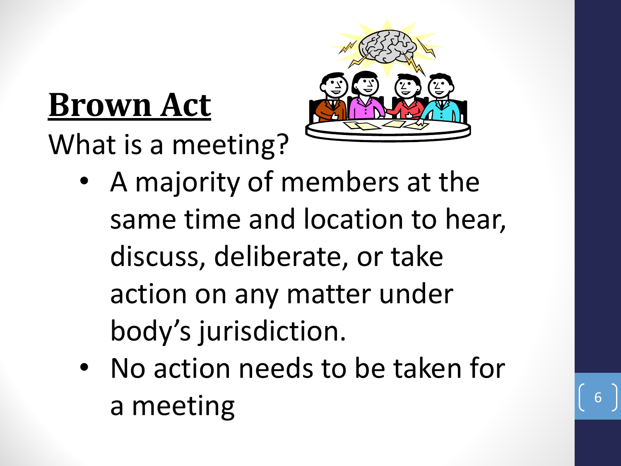### **Brown Act**

What is a meeting?



- A majority of members at the same time and location to hear, discuss, deliberate, or take action on any matter under body's jurisdiction.
- No action needs to be taken for a meeting

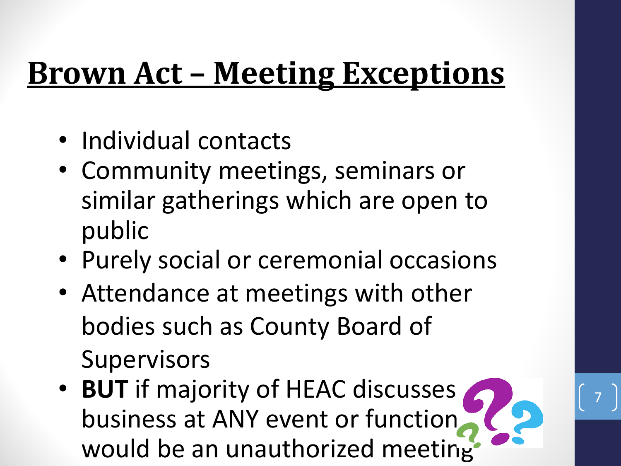### **Brown Act – Meeting Exceptions**

- Individual contacts
- Community meetings, seminars or similar gatherings which are open to public
- Purely social or ceremonial occasions
- Attendance at meetings with other bodies such as County Board of **Supervisors**
- **BUT** if majority of HEAC discusses business at ANY event or function would be an unauthorized meeting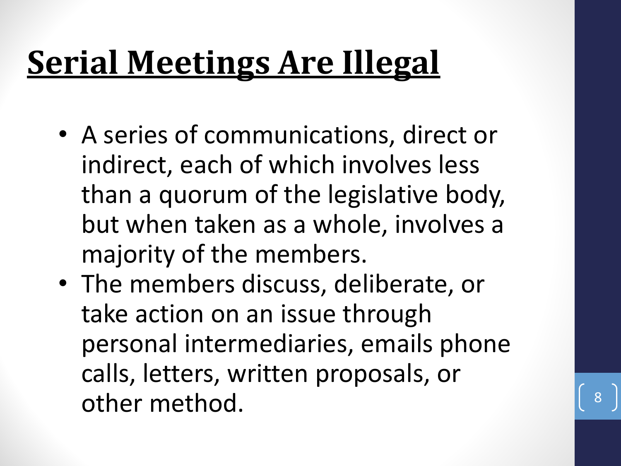## **Serial Meetings Are Illegal**

- A series of communications, direct or indirect, each of which involves less than a quorum of the legislative body, but when taken as a whole, involves a majority of the members.
- The members discuss, deliberate, or take action on an issue through personal intermediaries, emails phone calls, letters, written proposals, or other method. 8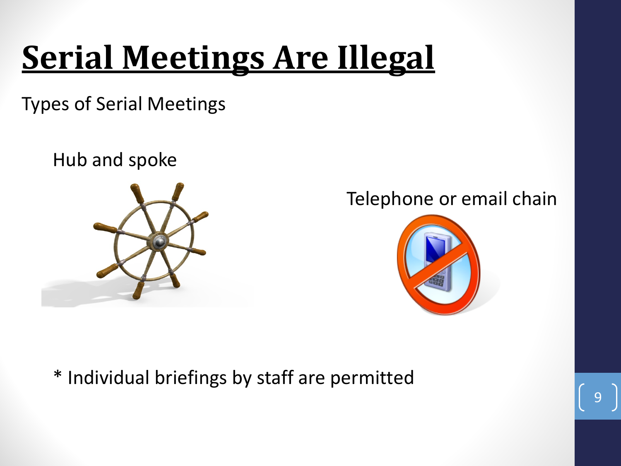### **Serial Meetings Are Illegal**

Types of Serial Meetings

Hub and spoke



### Telephone or email chain



\* Individual briefings by staff are permitted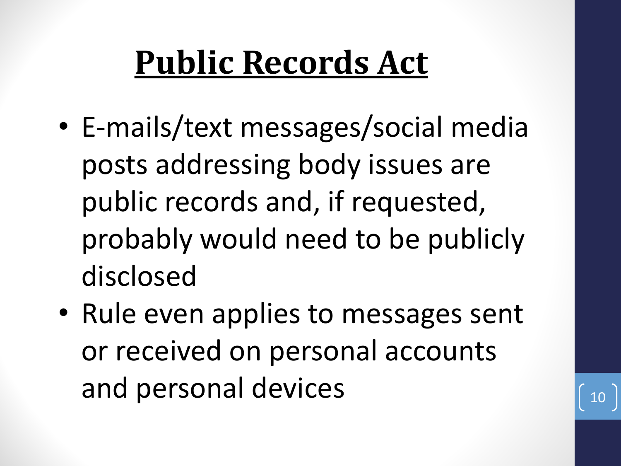### **Public Records Act**

- E-mails/text messages/social media posts addressing body issues are public records and, if requested, probably would need to be publicly disclosed
- Rule even applies to messages sent or received on personal accounts and personal devices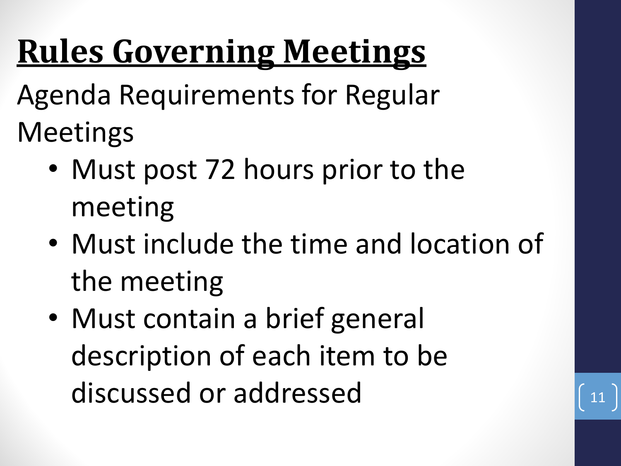### **Rules Governing Meetings**

Agenda Requirements for Regular Meetings

- Must post 72 hours prior to the meeting
- Must include the time and location of the meeting
- Must contain a brief general description of each item to be discussed or addressed

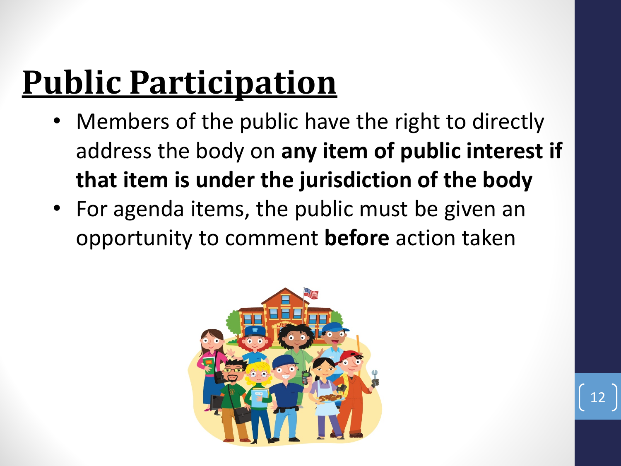### **Public Participation**

- Members of the public have the right to directly address the body on **any item of public interest if that item is under the jurisdiction of the body**
- For agenda items, the public must be given an opportunity to comment **before** action taken



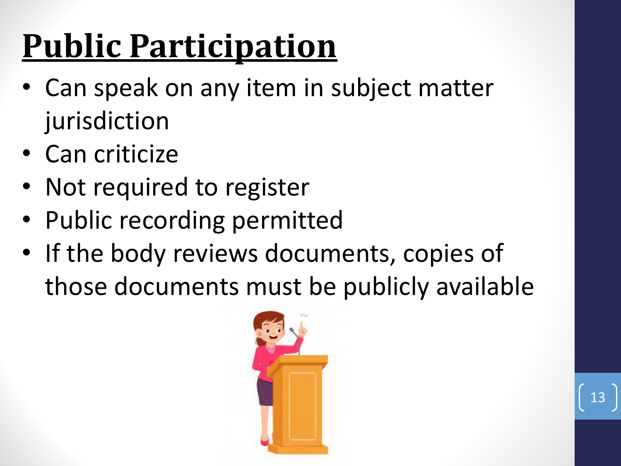## **Public Participation**

- Can speak on any item in subject matter jurisdiction
- Can criticize
- Not required to register
- Public recording permitted
- If the body reviews documents, copies of those documents must be publicly available

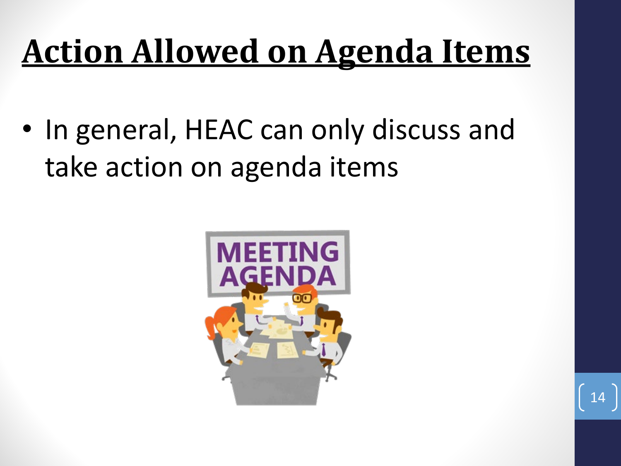### **Action Allowed on Agenda Items**

• In general, HEAC can only discuss and take action on agenda items

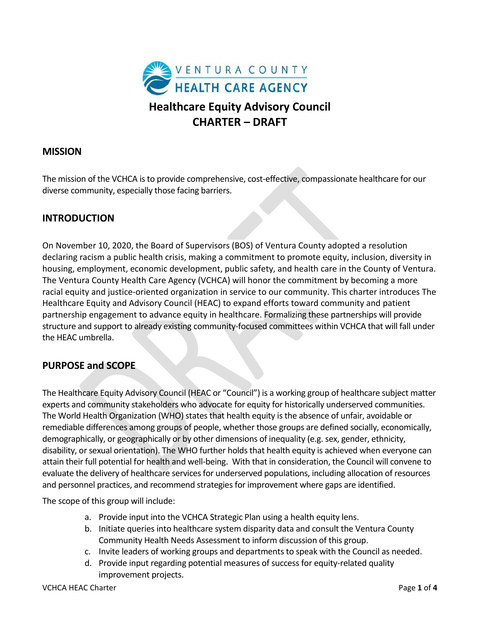

#### **MISSION**

The mission of the VCHCA is to provide comprehensive, cost-effective, compassionate healthcare for our diverse community, especially those facing barriers.

### **INTRODUCTION**

On November 10, 2020, the Board of Supervisors (BOS) of Ventura County adopted a resolution declaring racism a public health crisis, making a commitment to promote equity, inclusion, diversity in housing, employment, economic development, public safety, and health care in the County of Ventura. The Ventura County Health Care Agency (VCHCA) will honor the commitment by becoming a more racial equity and justice-oriented organization in service to our community. This charter introduces The Healthcare Equity and Advisory Council (HEAC) to expand efforts toward community and patient partnership engagement to advance equity in healthcare. Formalizing these partnerships will provide structure and support to already existing community-focused committees within VCHCA that will fall under the HEAC umbrella.

#### **PURPOSE and SCOPE**

The Healthcare Equity Advisory Council (HEAC or "Council") is a working group of healthcare subject matter experts and community stakeholders who advocate for equity for historically underserved communities. The World Health Organization (WHO) states that health equity is the absence of unfair, avoidable or remediable differences among groups of people, whether those groups are defined socially, economically, demographically, or geographically or by other dimensions of inequality (e.g. sex, gender, ethnicity, disability, or sexual orientation). The WHO further holds that health equity is achieved when everyone can attain their full potential for health and well-being. With that in consideration, the Council will convene to evaluate the delivery of healthcare services for underserved populations, including allocation of resources and personnel practices, and recommend strategies for improvement where gaps are identified.

The scope of this group will include:

- a. Provide input into the VCHCA Strategic Plan using a health equity lens.
- b. Initiate queries into healthcare system disparity data and consult the Ventura County Community Health Needs Assessment to inform discussion of this group.
- c. Invite leaders of working groups and departments to speak with the Council as needed.
- d. Provide input regarding potential measures of success for equity-related quality improvement projects.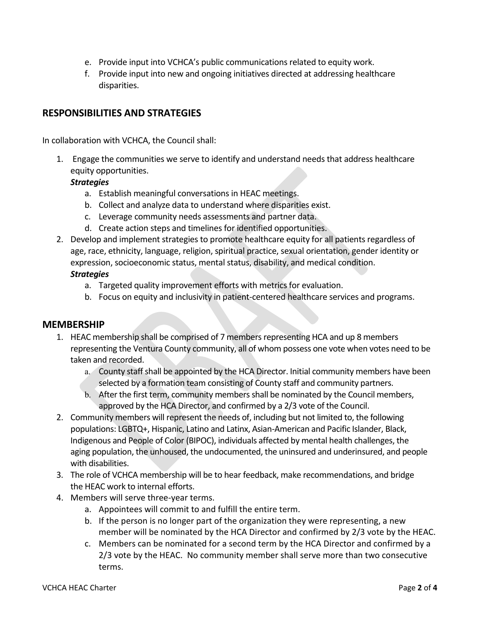- e. Provide input into VCHCA's public communicationsrelated to equity work.
- f. Provide input into new and ongoing initiatives directed at addressing healthcare disparities.

#### **RESPONSIBILITIES AND STRATEGIES**

In collaboration with VCHCA, the Council shall:

1. Engage the communities we serve to identify and understand needs that address healthcare equity opportunities.

#### *Strategies*

- a. Establish meaningful conversations in HEAC meetings.
- b. Collect and analyze data to understand where disparities exist.
- c. Leverage community needs assessments and partner data.
- d. Create action steps and timelines for identified opportunities.
- 2. Develop and implement strategies to promote healthcare equity for all patients regardless of age, race, ethnicity, language, religion, spiritual practice, sexual orientation, gender identity or expression, socioeconomic status, mental status, disability, and medical condition. *Strategies*
	- a. Targeted quality improvement efforts with metrics for evaluation.
	- b. Focus on equity and inclusivity in patient-centered healthcare services and programs.

#### **MEMBERSHIP**

- 1. HEAC membership shall be comprised of 7 members representing HCA and up 8 members representing the Ventura County community, all of whom possess one vote when votes need to be taken and recorded.
	- a. County staff shall be appointed by the HCA Director. Initial community members have been selected by a formation team consisting of County staff and community partners.
	- b. After the first term, community members shall be nominated by the Council members, approved by the HCA Director, and confirmed by a 2/3 vote of the Council.
- 2. Community members will represent the needs of, including but not limited to, the following populations: LGBTQ+, Hispanic, Latino and Latinx, Asian-American and Pacific Islander, Black, Indigenous and People of Color (BIPOC), individuals affected by mental health challenges, the aging population, the unhoused, the undocumented, the uninsured and underinsured, and people with disabilities.
- 3. The role of VCHCA membership will be to hear feedback, make recommendations, and bridge the HEAC work to internal efforts.
- 4. Members will serve three-year terms.
	- a. Appointees will commit to and fulfill the entire term.
	- b. If the person is no longer part of the organization they were representing, a new member will be nominated by the HCA Director and confirmed by 2/3 vote by the HEAC.
	- c. Members can be nominated for a second term by the HCA Director and confirmed by a 2/3 vote by the HEAC. No community member shall serve more than two consecutive terms.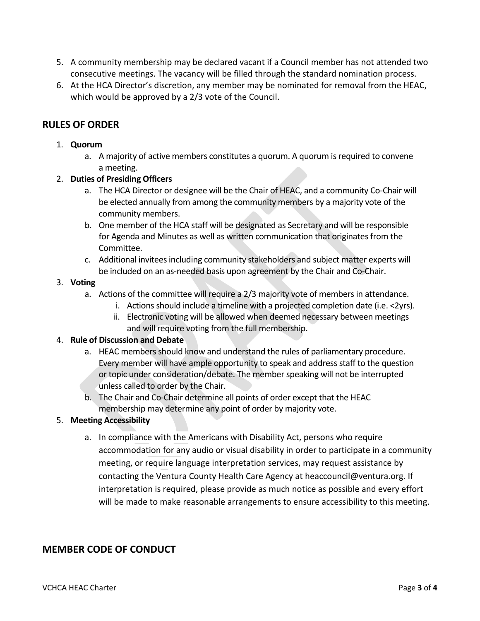- 5. A community membership may be declared vacant if a Council member has not attended two consecutive meetings. The vacancy will be filled through the standard nomination process.
- 6. At the HCA Director's discretion, any member may be nominated for removal from the HEAC, which would be approved by a 2/3 vote of the Council.

#### **RULES OF ORDER**

#### 1. **Quorum**

- a. A majority of active members constitutes a quorum. A quorum isrequired to convene a meeting.
- 2. **Duties of Presiding Officers**
	- a. The HCA Director or designee will be the Chair of HEAC, and a community Co-Chair will be elected annually from among the community members by a majority vote of the community members.
	- b. One member of the HCA staff will be designated as Secretary and will be responsible for Agenda and Minutes as well as written communication that originates from the Committee.
	- c. Additional invitees including community stakeholders and subject matter experts will be included on an as-needed basis upon agreement by the Chair and Co-Chair.

#### 3. **Voting**

- a. Actions of the committee will require a 2/3 majority vote of members in attendance.
	- i. Actions should include a timeline with a projected completion date (i.e. <2yrs).
	- ii. Electronic voting will be allowed when deemed necessary between meetings and will require voting from the full membership.

#### 4. **Rule of Discussion and Debate**

- a. HEAC members should know and understand the rules of parliamentary procedure. Every member will have ample opportunity to speak and address staff to the question or topic under consideration/debate. The member speaking will not be interrupted unless called to order by the Chair.
- b. The Chair and Co-Chair determine all points of order except that the HEAC membership may determine any point of order by majority vote.
- 5. **Meeting Accessibility**
	- a. In compliance with the Americans with Disability Act, persons who require accommodation for any audio or visual disability in order to participate in a community meeting, or require language interpretation services, may request assistance by contacting the Ventura County Health Care Agency at heaccouncil@ventura.org. If interpretation is required, please provide as much notice as possible and every effort will be made to make reasonable arrangements to ensure accessibility to this meeting.

#### **MEMBER CODE OF CONDUCT**